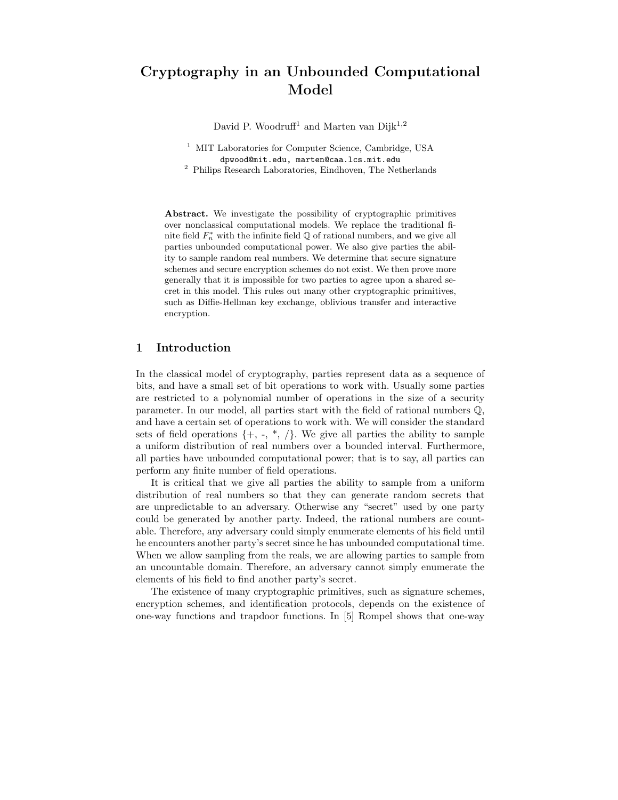# Cryptography in an Unbounded Computational Model

David P. Woodruff<sup>1</sup> and Marten van Dijk<sup>1,2</sup>

<sup>1</sup> MIT Laboratories for Computer Science, Cambridge, USA dpwood@mit.edu, marten@caa.lcs.mit.edu

<sup>2</sup> Philips Research Laboratories, Eindhoven, The Netherlands

Abstract. We investigate the possibility of cryptographic primitives over nonclassical computational models. We replace the traditional finite field  $F_n^*$  with the infinite field  $\mathbb Q$  of rational numbers, and we give all parties unbounded computational power. We also give parties the ability to sample random real numbers. We determine that secure signature schemes and secure encryption schemes do not exist. We then prove more generally that it is impossible for two parties to agree upon a shared secret in this model. This rules out many other cryptographic primitives, such as Diffie-Hellman key exchange, oblivious transfer and interactive encryption.

#### 1 Introduction

In the classical model of cryptography, parties represent data as a sequence of bits, and have a small set of bit operations to work with. Usually some parties are restricted to a polynomial number of operations in the size of a security parameter. In our model, all parties start with the field of rational numbers Q, and have a certain set of operations to work with. We will consider the standard sets of field operations  $\{+, -, *, /\}$ . We give all parties the ability to sample a uniform distribution of real numbers over a bounded interval. Furthermore, all parties have unbounded computational power; that is to say, all parties can perform any finite number of field operations.

It is critical that we give all parties the ability to sample from a uniform distribution of real numbers so that they can generate random secrets that are unpredictable to an adversary. Otherwise any "secret" used by one party could be generated by another party. Indeed, the rational numbers are countable. Therefore, any adversary could simply enumerate elements of his field until he encounters another party's secret since he has unbounded computational time. When we allow sampling from the reals, we are allowing parties to sample from an uncountable domain. Therefore, an adversary cannot simply enumerate the elements of his field to find another party's secret.

The existence of many cryptographic primitives, such as signature schemes, encryption schemes, and identification protocols, depends on the existence of one-way functions and trapdoor functions. In [5] Rompel shows that one-way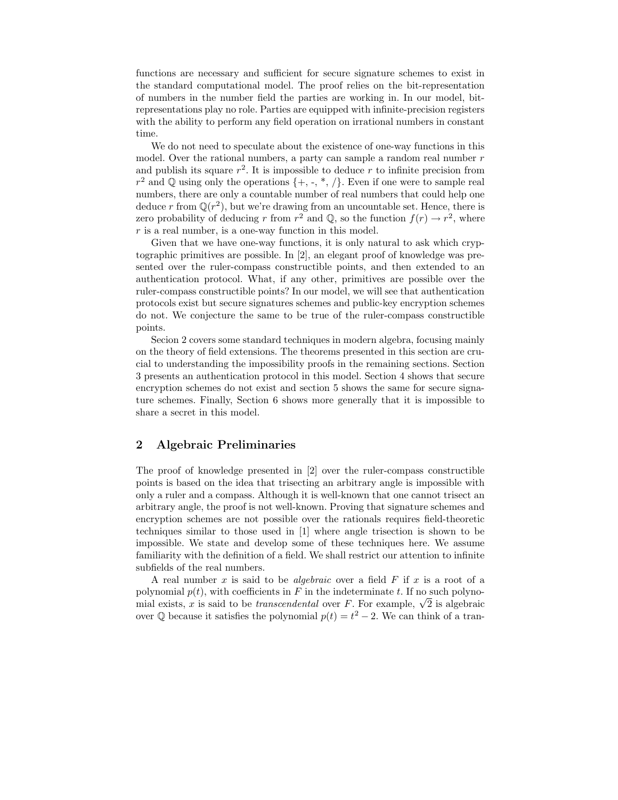functions are necessary and sufficient for secure signature schemes to exist in the standard computational model. The proof relies on the bit-representation of numbers in the number field the parties are working in. In our model, bitrepresentations play no role. Parties are equipped with infinite-precision registers with the ability to perform any field operation on irrational numbers in constant time.

We do not need to speculate about the existence of one-way functions in this model. Over the rational numbers, a party can sample a random real number  $r$ and publish its square  $r^2$ . It is impossible to deduce r to infinite precision from  $r^2$  and Q using only the operations  $\{+, \cdot, *, / \}$ . Even if one were to sample real numbers, there are only a countable number of real numbers that could help one deduce r from  $\mathbb{Q}(r^2)$ , but we're drawing from an uncountable set. Hence, there is zero probability of deducing r from  $r^2$  and Q, so the function  $f(r) \to r^2$ , where  $r$  is a real number, is a one-way function in this model.

Given that we have one-way functions, it is only natural to ask which cryptographic primitives are possible. In [2], an elegant proof of knowledge was presented over the ruler-compass constructible points, and then extended to an authentication protocol. What, if any other, primitives are possible over the ruler-compass constructible points? In our model, we will see that authentication protocols exist but secure signatures schemes and public-key encryption schemes do not. We conjecture the same to be true of the ruler-compass constructible points.

Secion 2 covers some standard techniques in modern algebra, focusing mainly on the theory of field extensions. The theorems presented in this section are crucial to understanding the impossibility proofs in the remaining sections. Section 3 presents an authentication protocol in this model. Section 4 shows that secure encryption schemes do not exist and section 5 shows the same for secure signature schemes. Finally, Section 6 shows more generally that it is impossible to share a secret in this model.

#### 2 Algebraic Preliminaries

The proof of knowledge presented in [2] over the ruler-compass constructible points is based on the idea that trisecting an arbitrary angle is impossible with only a ruler and a compass. Although it is well-known that one cannot trisect an arbitrary angle, the proof is not well-known. Proving that signature schemes and encryption schemes are not possible over the rationals requires field-theoretic techniques similar to those used in [1] where angle trisection is shown to be impossible. We state and develop some of these techniques here. We assume familiarity with the definition of a field. We shall restrict our attention to infinite subfields of the real numbers.

A real number x is said to be *algebraic* over a field  $F$  if x is a root of a polynomial  $p(t)$ , with coefficients in F in the indeterminate t. If no such polynomial exists, x is said to be *transcendental* over F. For example,  $\sqrt{2}$  is algebraic over  $\mathbb Q$  because it satisfies the polynomial  $p(t) = t^2 - 2$ . We can think of a tran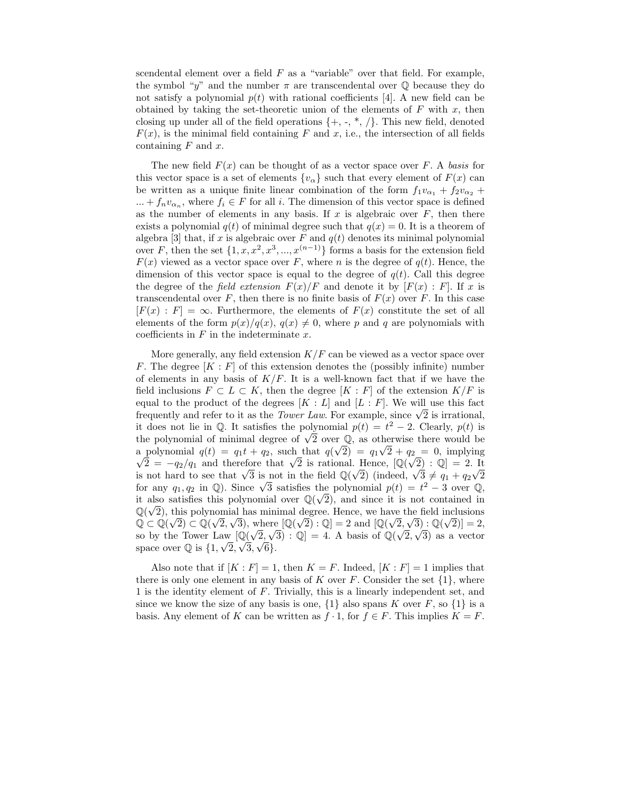scendental element over a field  $F$  as a "variable" over that field. For example, the symbol "y" and the number  $\pi$  are transcendental over Q because they do not satisfy a polynomial  $p(t)$  with rational coefficients [4]. A new field can be obtained by taking the set-theoretic union of the elements of  $F$  with  $x$ , then closing up under all of the field operations  $\{+, -, *, / \}$ . This new field, denoted  $F(x)$ , is the minimal field containing F and x, i.e., the intersection of all fields containing  $F$  and  $x$ .

The new field  $F(x)$  can be thought of as a vector space over F. A basis for this vector space is a set of elements  $\{v_{\alpha}\}\$  such that every element of  $F(x)$  can be written as a unique finite linear combination of the form  $f_1v_{\alpha_1} + f_2v_{\alpha_2} +$  $... + f_n v_{\alpha_n}$ , where  $f_i \in F$  for all i. The dimension of this vector space is defined as the number of elements in any basis. If  $x$  is algebraic over  $F$ , then there exists a polynomial  $q(t)$  of minimal degree such that  $q(x) = 0$ . It is a theorem of algebra [3] that, if x is algebraic over F and  $q(t)$  denotes its minimal polynomial over F, then the set  $\{1, x, x^2, x^3, ..., x^{(n-1)}\}$  forms a basis for the extension field  $F(x)$  viewed as a vector space over F, where n is the degree of  $q(t)$ . Hence, the dimension of this vector space is equal to the degree of  $q(t)$ . Call this degree the degree of the field extension  $F(x)/F$  and denote it by  $[F(x):F]$ . If x is transcendental over F, then there is no finite basis of  $F(x)$  over F. In this case  $[F(x) : F] = \infty$ . Furthermore, the elements of  $F(x)$  constitute the set of all elements of the form  $p(x)/q(x)$ ,  $q(x) \neq 0$ , where p and q are polynomials with coefficients in  $F$  in the indeterminate  $x$ .

More generally, any field extension  $K/F$  can be viewed as a vector space over F. The degree  $[K : F]$  of this extension denotes the (possibly infinite) number of elements in any basis of  $K/F$ . It is a well-known fact that if we have the field inclusions  $F \subset L \subset K$ , then the degree  $[K : F]$  of the extension  $K/F$  is equal to the product of the degrees  $[K : L]$  and  $[L : F]$ . We will use this fact frequently and refer to it as the *Tower Law*. For example, since  $\sqrt{2}$  is irrational, it does not lie in  $\mathbb Q$ . It satisfies the polynomial  $p(t) = t^2 - 2$ . Clearly,  $p(t)$  is the polynomial of minimal degree of  $\sqrt{2}$  over  $\mathbb{Q}$ , as otherwise there would be a polynomial  $q(t) = q_1 t + q_2$ , such that  $q(\sqrt{2}) = q_1 \sqrt{2} + q_2 = 0$ , implying  $\sqrt{2} = -q_2/q_1$  and therefore that  $\sqrt{2}$  is rational. Hence,  $[\mathbb{Q}(\sqrt{2}) : \mathbb{Q}] = 2$ . It is not hard to see that  $\sqrt{3}$  is not in the field  $\mathbb{Q}(\sqrt{2})$  (indeed,  $\sqrt{3} \neq q_1 + q_2\sqrt{2}$ for any  $q_1, q_2$  in Q). Since  $\sqrt{3}$  satisfies the polynomial  $p(t) = t^2 - 3$  over Q, it also satisfies this polynomial over  $\mathbb{Q}(\sqrt{2})$ , and since it is not contained in  $\mathbb{Q}(\sqrt{2})$ , this polynomial has minimal degree. Hence, we have the field inclusions  $\mathbb{Q} \subset \mathbb{Q}(\sqrt{2}) \subset \mathbb{Q}(\sqrt{2}, \sqrt{3})$ , where  $[\mathbb{Q}(\sqrt{2}) : \mathbb{Q}] = 2$  and  $[\mathbb{Q}(\sqrt{2}, \sqrt{3}) : \mathbb{Q}(\sqrt{2})] = 2$ , so by the Tower Law  $[\mathbb{Q}(\sqrt{2}, \sqrt{3}) : \mathbb{Q}] = 4$ . A basis of  $\mathbb{Q}(\sqrt{2}, \sqrt{3})$  as a vector space over  $\mathbb Q$  is  $\{1, \sqrt{2}, \sqrt{3}, \sqrt{6}\}.$ 

Also note that if  $[K : F] = 1$ , then  $K = F$ . Indeed,  $[K : F] = 1$  implies that there is only one element in any basis of K over F. Consider the set  $\{1\}$ , where 1 is the identity element of F. Trivially, this is a linearly independent set, and since we know the size of any basis is one,  $\{1\}$  also spans K over F, so  $\{1\}$  is a basis. Any element of K can be written as  $f \cdot 1$ , for  $f \in F$ . This implies  $K = F$ .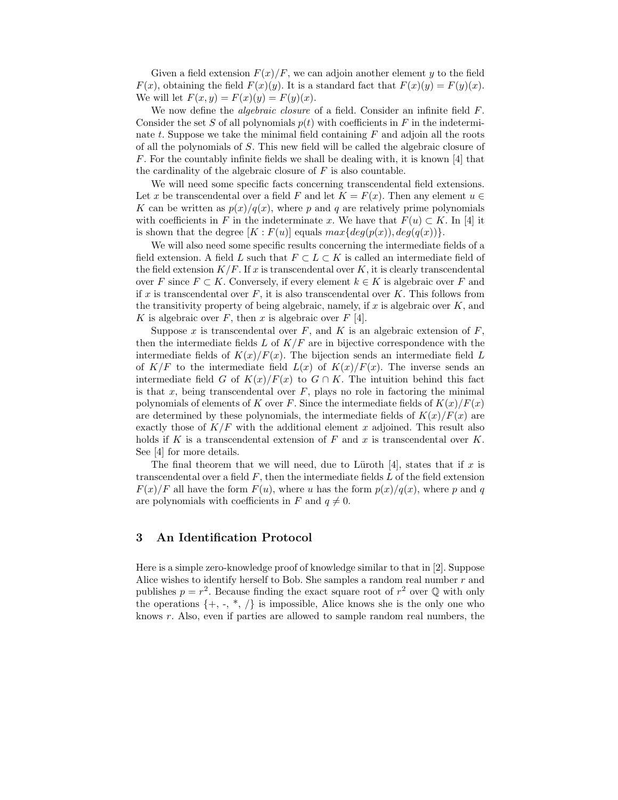Given a field extension  $F(x)/F$ , we can adjoin another element y to the field  $F(x)$ , obtaining the field  $F(x)(y)$ . It is a standard fact that  $F(x)(y) = F(y)(x)$ . We will let  $F(x, y) = F(x)(y) = F(y)(x)$ .

We now define the *algebraic closure* of a field. Consider an infinite field F. Consider the set S of all polynomials  $p(t)$  with coefficients in F in the indeterminate  $t$ . Suppose we take the minimal field containing  $F$  and adjoin all the roots of all the polynomials of S. This new field will be called the algebraic closure of F. For the countably infinite fields we shall be dealing with, it is known [4] that the cardinality of the algebraic closure of  $F$  is also countable.

We will need some specific facts concerning transcendental field extensions. Let x be transcendental over a field F and let  $K = F(x)$ . Then any element  $u \in$ K can be written as  $p(x)/q(x)$ , where p and q are relatively prime polynomials with coefficients in F in the indeterminate x. We have that  $F(u) \subset K$ . In [4] it is shown that the degree  $[K: F(u)]$  equals  $max\{deg(p(x)), deg(q(x))\}.$ 

We will also need some specific results concerning the intermediate fields of a field extension. A field L such that  $F \subset L \subset K$  is called an intermediate field of the field extension  $K/F$ . If x is transcendental over K, it is clearly transcendental over F since  $F \subset K$ . Conversely, if every element  $k \in K$  is algebraic over F and if x is transcendental over  $F$ , it is also transcendental over  $K$ . This follows from the transitivity property of being algebraic, namely, if  $x$  is algebraic over  $K$ , and K is algebraic over F, then x is algebraic over  $F$  [4].

Suppose x is transcendental over F, and K is an algebraic extension of F. then the intermediate fields  $L$  of  $K/F$  are in bijective correspondence with the intermediate fields of  $K(x)/F(x)$ . The bijection sends an intermediate field L of  $K/F$  to the intermediate field  $L(x)$  of  $K(x)/F(x)$ . The inverse sends an intermediate field G of  $K(x)/F(x)$  to  $G \cap K$ . The intuition behind this fact is that x, being transcendental over  $F$ , plays no role in factoring the minimal polynomials of elements of K over F. Since the intermediate fields of  $K(x)/F(x)$ are determined by these polynomials, the intermediate fields of  $K(x)/F(x)$  are exactly those of  $K/F$  with the additional element x adjoined. This result also holds if K is a transcendental extension of F and x is transcendental over K. See [4] for more details.

The final theorem that we will need, due to Lüroth [4], states that if  $x$  is transcendental over a field  $F$ , then the intermediate fields  $L$  of the field extension  $F(x)/F$  all have the form  $F(u)$ , where u has the form  $p(x)/q(x)$ , where p and q are polynomials with coefficients in F and  $q \neq 0$ .

#### 3 An Identification Protocol

Here is a simple zero-knowledge proof of knowledge similar to that in [2]. Suppose Alice wishes to identify herself to Bob. She samples a random real number  $r$  and publishes  $p = r^2$ . Because finding the exact square root of  $r^2$  over  $\mathbb Q$  with only the operations  $\{+, -, *, /\}$  is impossible, Alice knows she is the only one who knows r. Also, even if parties are allowed to sample random real numbers, the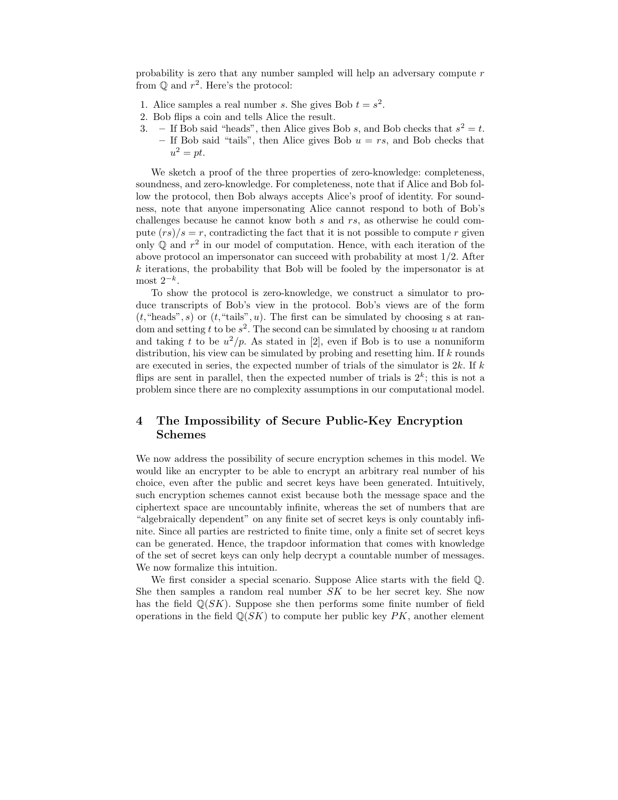probability is zero that any number sampled will help an adversary compute  $r$ from  $\mathbb Q$  and  $r^2$ . Here's the protocol:

- 1. Alice samples a real number s. She gives Bob  $t = s^2$ .
- 2. Bob flips a coin and tells Alice the result.
- 3. If Bob said "heads", then Alice gives Bob s, and Bob checks that  $s^2 = t$ . – If Bob said "tails", then Alice gives Bob  $u = rs$ , and Bob checks that  $u^2 = pt$ .

We sketch a proof of the three properties of zero-knowledge: completeness, soundness, and zero-knowledge. For completeness, note that if Alice and Bob follow the protocol, then Bob always accepts Alice's proof of identity. For soundness, note that anyone impersonating Alice cannot respond to both of Bob's challenges because he cannot know both  $s$  and  $rs$ , as otherwise he could compute  $(rs)/s = r$ , contradicting the fact that it is not possible to compute r given only  $\mathbb Q$  and  $r^2$  in our model of computation. Hence, with each iteration of the above protocol an impersonator can succeed with probability at most 1/2. After  $k$  iterations, the probability that Bob will be fooled by the impersonator is at most  $2^{-k}$ .

To show the protocol is zero-knowledge, we construct a simulator to produce transcripts of Bob's view in the protocol. Bob's views are of the form  $(t, \text{``heads''}, s)$  or  $(t, \text{``tails''}, u)$ . The first can be simulated by choosing s at random and setting t to be  $s^2$ . The second can be simulated by choosing u at random and taking t to be  $u^2/p$ . As stated in [2], even if Bob is to use a nonuniform distribution, his view can be simulated by probing and resetting him. If  $k$  rounds are executed in series, the expected number of trials of the simulator is  $2k$ . If k flips are sent in parallel, then the expected number of trials is  $2^k$ ; this is not a problem since there are no complexity assumptions in our computational model.

## 4 The Impossibility of Secure Public-Key Encryption Schemes

We now address the possibility of secure encryption schemes in this model. We would like an encrypter to be able to encrypt an arbitrary real number of his choice, even after the public and secret keys have been generated. Intuitively, such encryption schemes cannot exist because both the message space and the ciphertext space are uncountably infinite, whereas the set of numbers that are "algebraically dependent" on any finite set of secret keys is only countably infinite. Since all parties are restricted to finite time, only a finite set of secret keys can be generated. Hence, the trapdoor information that comes with knowledge of the set of secret keys can only help decrypt a countable number of messages. We now formalize this intuition.

We first consider a special scenario. Suppose Alice starts with the field Q. She then samples a random real number  $SK$  to be her secret key. She now has the field  $\mathbb{Q}(SK)$ . Suppose she then performs some finite number of field operations in the field  $\mathbb{Q}(SK)$  to compute her public key PK, another element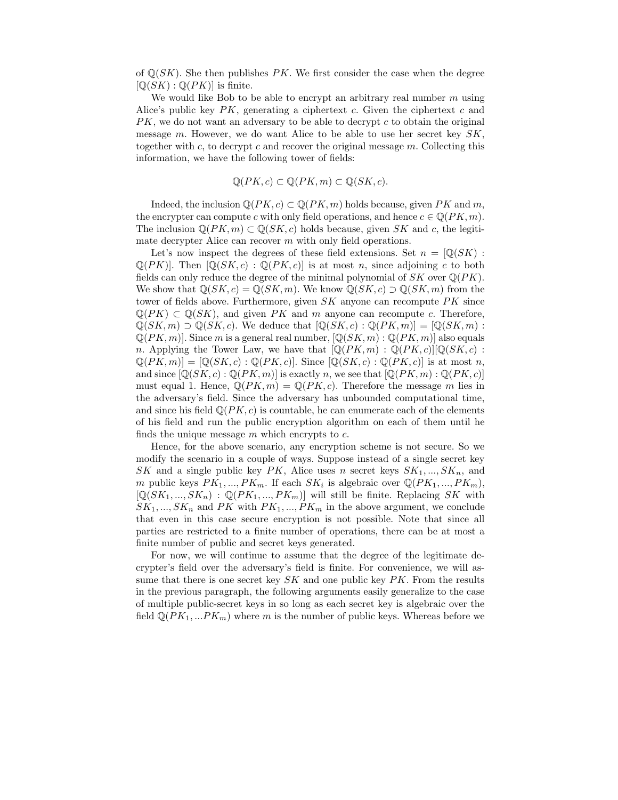of  $\mathbb{Q}(SK)$ . She then publishes PK. We first consider the case when the degree  $[\mathbb{Q}(SK) : \mathbb{Q}(PK)]$  is finite.

We would like Bob to be able to encrypt an arbitrary real number  $m$  using Alice's public key  $PK$ , generating a ciphertext c. Given the ciphertext c and  $PK$ , we do not want an adversary to be able to decrypt c to obtain the original message  $m$ . However, we do want Alice to be able to use her secret key  $SK$ , together with c, to decrypt c and recover the original message  $m$ . Collecting this information, we have the following tower of fields:

$$
\mathbb{Q}(PK, c) \subset \mathbb{Q}(PK, m) \subset \mathbb{Q}(SK, c).
$$

Indeed, the inclusion  $\mathbb{Q}(PK, c) \subset \mathbb{Q}(PK, m)$  holds because, given PK and m, the encrypter can compute c with only field operations, and hence  $c \in \mathbb{Q}(PK, m)$ . The inclusion  $\mathbb{Q}(PK, m) \subset \mathbb{Q}(SK, c)$  holds because, given SK and c, the legitimate decrypter Alice can recover m with only field operations.

Let's now inspect the degrees of these field extensions. Set  $n = \mathbb{Q}(SK)$ :  $\mathbb{Q}(PK)$ . Then  $[\mathbb{Q}(SK, c) : \mathbb{Q}(PK, c)]$  is at most n, since adjoining c to both fields can only reduce the degree of the minimal polynomial of  $SK$  over  $\mathbb{Q}(PK)$ . We show that  $\mathbb{Q}(SK, c) = \mathbb{Q}(SK, m)$ . We know  $\mathbb{Q}(SK, c) \supset \mathbb{Q}(SK, m)$  from the tower of fields above. Furthermore, given  $SK$  anyone can recompute  $PK$  since  $\mathbb{Q}(PK) \subset \mathbb{Q}(SK)$ , and given PK and m anyone can recompute c. Therefore,  $\mathbb{Q}(SK,m) \supset \mathbb{Q}(SK,c)$ . We deduce that  $[\mathbb{Q}(SK,c) : \mathbb{Q}(PK,m)]=[\mathbb{Q}(SK,m):$  $\mathbb{Q}(PK, m)$ . Since m is a general real number,  $[\mathbb{Q}(SK, m) : \mathbb{Q}(PK, m)]$  also equals n. Applying the Tower Law, we have that  $[\mathbb{Q}(PK, m) : \mathbb{Q}(PK, c)][\mathbb{Q}(SK, c) :$  $\mathbb{Q}(PK, m) = [\mathbb{Q}(SK, c) : \mathbb{Q}(PK, c)]$ . Since  $[\mathbb{Q}(SK, c) : \mathbb{Q}(PK, c)]$  is at most n, and since  $[\mathbb{Q}(SK, c) : \mathbb{Q}(PK, m)]$  is exactly n, we see that  $[\mathbb{Q}(PK, m) : \mathbb{Q}(PK, c)]$ must equal 1. Hence,  $\mathbb{Q}(PK, m) = \mathbb{Q}(PK, c)$ . Therefore the message m lies in the adversary's field. Since the adversary has unbounded computational time, and since his field  $\mathbb{Q}(PK, c)$  is countable, he can enumerate each of the elements of his field and run the public encryption algorithm on each of them until he finds the unique message  $m$  which encrypts to  $c$ .

Hence, for the above scenario, any encryption scheme is not secure. So we modify the scenario in a couple of ways. Suppose instead of a single secret key SK and a single public key PK, Alice uses n secret keys  $SK_1, ..., SK_n$ , and m public keys  $PK_1, ..., PK_m$ . If each  $SK_i$  is algebraic over  $\mathbb{Q}(PK_1, ..., PK_m)$ ,  $[Q(SK_1, ..., SK_n) : Q(PK_1, ..., PK_m)]$  will still be finite. Replacing SK with  $SK_1, ..., SK_n$  and PK with  $PK_1, ..., PK_m$  in the above argument, we conclude that even in this case secure encryption is not possible. Note that since all parties are restricted to a finite number of operations, there can be at most a finite number of public and secret keys generated.

For now, we will continue to assume that the degree of the legitimate decrypter's field over the adversary's field is finite. For convenience, we will assume that there is one secret key  $SK$  and one public key  $PK$ . From the results in the previous paragraph, the following arguments easily generalize to the case of multiple public-secret keys in so long as each secret key is algebraic over the field  $\mathbb{Q}(PK_1,...PK_m)$  where m is the number of public keys. Whereas before we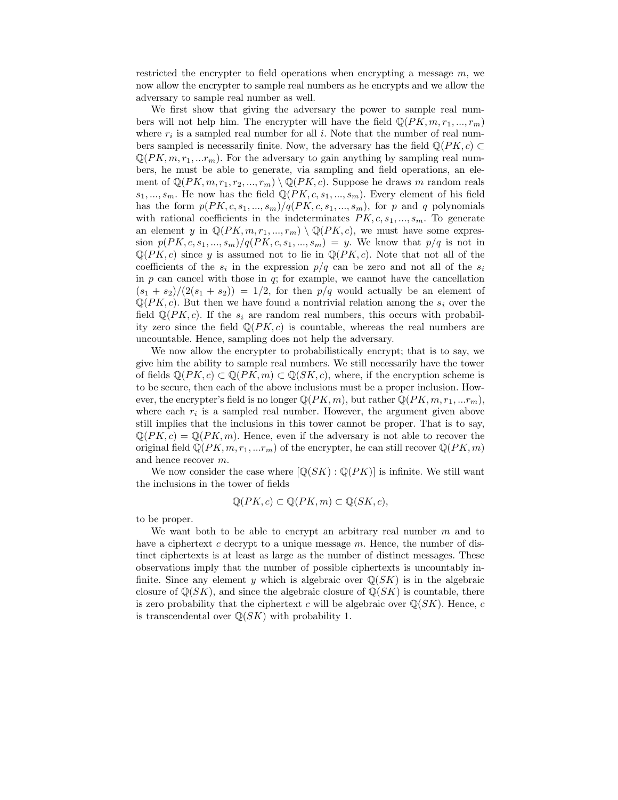restricted the encrypter to field operations when encrypting a message  $m$ , we now allow the encrypter to sample real numbers as he encrypts and we allow the adversary to sample real number as well.

We first show that giving the adversary the power to sample real numbers will not help him. The encrypter will have the field  $\mathbb{Q}(PK, m, r_1, ..., r_m)$ where  $r_i$  is a sampled real number for all i. Note that the number of real numbers sampled is necessarily finite. Now, the adversary has the field  $\mathbb{Q}(PK, c)$  $\mathbb{Q}(PK, m, r_1, ...r_m)$ . For the adversary to gain anything by sampling real numbers, he must be able to generate, via sampling and field operations, an element of  $\mathbb{Q}(PK, m, r_1, r_2, ..., r_m) \setminus \mathbb{Q}(PK, c)$ . Suppose he draws m random reals  $s_1, ..., s_m$ . He now has the field  $\mathbb{Q}(PK, c, s_1, ..., s_m)$ . Every element of his field has the form  $p(PK, c, s_1, ..., s_m)/q(PK, c, s_1, ..., s_m)$ , for p and q polynomials with rational coefficients in the indeterminates  $PK, c, s_1, ..., s_m$ . To generate an element y in  $\mathbb{Q}(PK, m, r_1, ..., r_m) \setminus \mathbb{Q}(PK, c)$ , we must have some expression  $p(PK, c, s_1, ..., s_m)/q(PK, c, s_1, ..., s_m) = y$ . We know that  $p/q$  is not in  $\mathbb{Q}(PK, c)$  since y is assumed not to lie in  $\mathbb{Q}(PK, c)$ . Note that not all of the coefficients of the  $s_i$  in the expression  $p/q$  can be zero and not all of the  $s_i$ in  $p$  can cancel with those in  $q$ ; for example, we cannot have the cancellation  $(s_1 + s_2)/(2(s_1 + s_2)) = 1/2$ , for then  $p/q$  would actually be an element of  $\mathbb{Q}(PK, c)$ . But then we have found a nontrivial relation among the  $s_i$  over the field  $\mathbb{Q}(PK, c)$ . If the  $s_i$  are random real numbers, this occurs with probability zero since the field  $\mathbb{Q}(PK, c)$  is countable, whereas the real numbers are uncountable. Hence, sampling does not help the adversary.

We now allow the encrypter to probabilistically encrypt; that is to say, we give him the ability to sample real numbers. We still necessarily have the tower of fields  $\mathbb{Q}(PK, c) \subset \mathbb{Q}(PK, m) \subset \mathbb{Q}(SK, c)$ , where, if the encryption scheme is to be secure, then each of the above inclusions must be a proper inclusion. However, the encrypter's field is no longer  $\mathbb{Q}(PK, m)$ , but rather  $\mathbb{Q}(PK, m, r_1, ...r_m)$ , where each  $r_i$  is a sampled real number. However, the argument given above still implies that the inclusions in this tower cannot be proper. That is to say,  $\mathbb{Q}(PK, c) = \mathbb{Q}(PK, m)$ . Hence, even if the adversary is not able to recover the original field  $\mathbb{Q}(PK, m, r_1, ...r_m)$  of the encrypter, he can still recover  $\mathbb{Q}(PK, m)$ and hence recover m.

We now consider the case where  $\left[\mathbb{Q}(SK):\mathbb{Q}(PK)\right]$  is infinite. We still want the inclusions in the tower of fields

$$
\mathbb{Q}(PK, c) \subset \mathbb{Q}(PK, m) \subset \mathbb{Q}(SK, c),
$$

to be proper.

We want both to be able to encrypt an arbitrary real number  $m$  and to have a ciphertext c decrypt to a unique message  $m$ . Hence, the number of distinct ciphertexts is at least as large as the number of distinct messages. These observations imply that the number of possible ciphertexts is uncountably infinite. Since any element y which is algebraic over  $\mathbb{Q}(SK)$  is in the algebraic closure of  $\mathbb{Q}(SK)$ , and since the algebraic closure of  $\mathbb{Q}(SK)$  is countable, there is zero probability that the ciphertext c will be algebraic over  $\mathbb{Q}(SK)$ . Hence, c is transcendental over  $\mathbb{Q}(SK)$  with probability 1.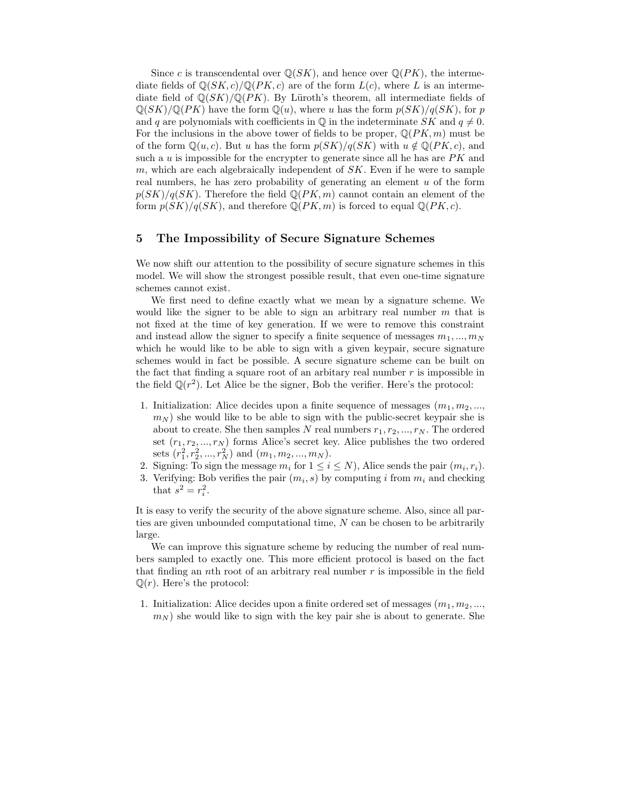Since c is transcendental over  $\mathbb{Q}(SK)$ , and hence over  $\mathbb{Q}(PK)$ , the intermediate fields of  $\mathbb{Q}(SK, c)/\mathbb{Q}(PK, c)$  are of the form  $L(c)$ , where L is an intermediate field of  $\mathbb{Q}(SK)/\mathbb{Q}(PK)$ . By Lüroth's theorem, all intermediate fields of  $\mathbb{Q}(SK)/\mathbb{Q}(PK)$  have the form  $\mathbb{Q}(u)$ , where u has the form  $p(SK)/q(SK)$ , for p and q are polynomials with coefficients in  $\mathbb Q$  in the indeterminate SK and  $q \neq 0$ . For the inclusions in the above tower of fields to be proper,  $\mathbb{Q}(PK, m)$  must be of the form  $\mathbb{Q}(u, c)$ . But u has the form  $p(SK)/q(SK)$  with  $u \notin \mathbb{Q}(PK, c)$ , and such a  $u$  is impossible for the encrypter to generate since all he has are  $PK$  and m, which are each algebraically independent of  $SK$ . Even if he were to sample real numbers, he has zero probability of generating an element  $u$  of the form  $p(SK)/q(SK)$ . Therefore the field  $\mathbb{Q}(PK, m)$  cannot contain an element of the form  $p(SK)/q(SK)$ , and therefore  $\mathbb{Q}(PK, m)$  is forced to equal  $\mathbb{Q}(PK, c)$ .

#### 5 The Impossibility of Secure Signature Schemes

We now shift our attention to the possibility of secure signature schemes in this model. We will show the strongest possible result, that even one-time signature schemes cannot exist.

We first need to define exactly what we mean by a signature scheme. We would like the signer to be able to sign an arbitrary real number  $m$  that is not fixed at the time of key generation. If we were to remove this constraint and instead allow the signer to specify a finite sequence of messages  $m_1, ..., m_N$ which he would like to be able to sign with a given keypair, secure signature schemes would in fact be possible. A secure signature scheme can be built on the fact that finding a square root of an arbitary real number  $r$  is impossible in the field  $\mathbb{Q}(r^2)$ . Let Alice be the signer, Bob the verifier. Here's the protocol:

- 1. Initialization: Alice decides upon a finite sequence of messages  $(m_1, m_2, \ldots, m_n)$  $m_N$ ) she would like to be able to sign with the public-secret keypair she is about to create. She then samples N real numbers  $r_1, r_2, ..., r_N$ . The ordered set  $(r_1, r_2, ..., r_N)$  forms Alice's secret key. Alice publishes the two ordered sets  $(r_1^2, r_2^2, ..., r_N^2)$  and  $(m_1, m_2, ..., m_N)$ .
- 2. Signing: To sign the message  $m_i$  for  $1 \leq i \leq N$ , Alice sends the pair  $(m_i, r_i)$ .
- 3. Verifying: Bob verifies the pair  $(m_i, s)$  by computing i from  $m_i$  and checking that  $s^2 = r_i^2$ .

It is easy to verify the security of the above signature scheme. Also, since all parties are given unbounded computational time,  $N$  can be chosen to be arbitrarily large.

We can improve this signature scheme by reducing the number of real numbers sampled to exactly one. This more efficient protocol is based on the fact that finding an nth root of an arbitrary real number  $r$  is impossible in the field  $\mathbb{Q}(r)$ . Here's the protocol:

1. Initialization: Alice decides upon a finite ordered set of messages  $(m_1, m_2, \ldots, m_n)$  $m_N$ ) she would like to sign with the key pair she is about to generate. She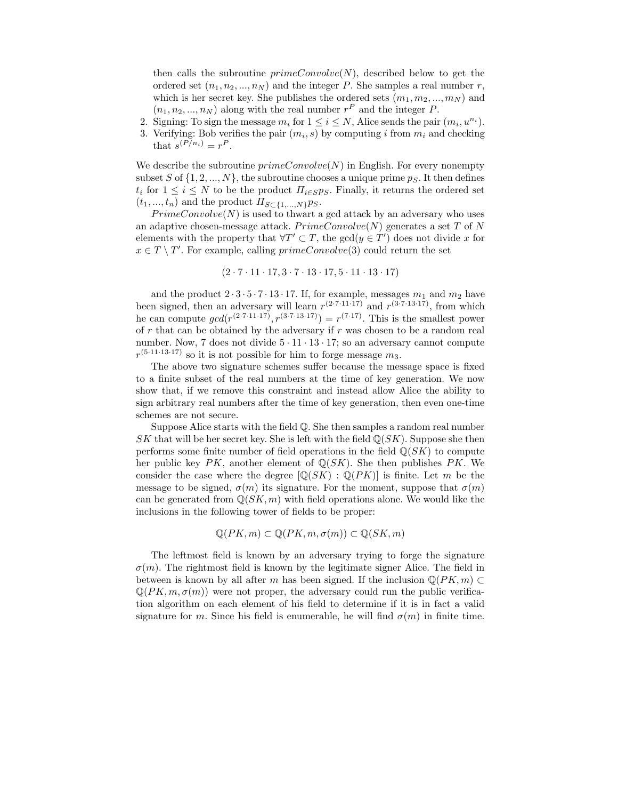then calls the subroutine  $primeConvolve(N)$ , described below to get the ordered set  $(n_1, n_2, ..., n_N)$  and the integer P. She samples a real number r, which is her secret key. She publishes the ordered sets  $(m_1, m_2, ..., m_N)$  and  $(n_1, n_2, ..., n_N)$  along with the real number  $r^P$  and the integer P.

- 2. Signing: To sign the message  $m_i$  for  $1 \leq i \leq N$ , Alice sends the pair  $(m_i, u^{n_i})$ .
- 3. Verifying: Bob verifies the pair  $(m_i, s)$  by computing i from  $m_i$  and checking that  $s^{(P/n_i)} = r^P$ .

We describe the subroutine  $primeConvolve(N)$  in English. For every nonempty subset S of  $\{1, 2, ..., N\}$ , the subroutine chooses a unique prime  $p_S$ . It then defines  $t_i$  for  $1 \leq i \leq N$  to be the product  $\Pi_{i \in S} p_S$ . Finally, it returns the ordered set  $(t_1, ..., t_n)$  and the product  $\Pi_{S \subset \{1,...,N\}} p_S$ .

 $PrimeConvolve(N)$  is used to thwart a gcd attack by an adversary who uses an adaptive chosen-message attack.  $PrimeConvolve(N)$  generates a set T of N elements with the property that  $\forall T' \subset T$ , the  $gcd(y \in T')$  does not divide x for  $x \in T \setminus T'$ . For example, calling  $primeConvolve(3)$  could return the set

$$
(2 \cdot 7 \cdot 11 \cdot 17, 3 \cdot 7 \cdot 13 \cdot 17, 5 \cdot 11 \cdot 13 \cdot 17)
$$

and the product  $2 \cdot 3 \cdot 5 \cdot 7 \cdot 13 \cdot 17$ . If, for example, messages  $m_1$  and  $m_2$  have been signed, then an adversary will learn  $r^{(2\cdot7\cdot11\cdot17)}$  and  $r^{(3\cdot7\cdot13\cdot17)}$ , from which he can compute  $gcd(r^{(2\cdot7\cdot11\cdot17)}, r^{(3\cdot7\cdot13\cdot17)}) = r^{(7\cdot17)}$ . This is the smallest power of  $r$  that can be obtained by the adversary if  $r$  was chosen to be a random real number. Now, 7 does not divide  $5 \cdot 11 \cdot 13 \cdot 17$ ; so an adversary cannot compute  $r^{(5 \cdot 11 \cdot 13 \cdot 17)}$  so it is not possible for him to forge message  $m_3$ .

The above two signature schemes suffer because the message space is fixed to a finite subset of the real numbers at the time of key generation. We now show that, if we remove this constraint and instead allow Alice the ability to sign arbitrary real numbers after the time of key generation, then even one-time schemes are not secure.

Suppose Alice starts with the field Q. She then samples a random real number SK that will be her secret key. She is left with the field  $\mathbb{Q}(SK)$ . Suppose she then performs some finite number of field operations in the field  $\mathbb{Q}(SK)$  to compute her public key  $PK$ , another element of  $\mathbb{Q}(SK)$ . She then publishes PK. We consider the case where the degree  $[\mathbb{Q}(SK) : \mathbb{Q}(PK)]$  is finite. Let m be the message to be signed,  $\sigma(m)$  its signature. For the moment, suppose that  $\sigma(m)$ can be generated from  $\mathbb{Q}(SK, m)$  with field operations alone. We would like the inclusions in the following tower of fields to be proper:

$$
\mathbb{Q}(PK,m)\subset\mathbb{Q}(PK,m,\sigma(m))\subset\mathbb{Q}(SK,m)
$$

The leftmost field is known by an adversary trying to forge the signature  $\sigma(m)$ . The rightmost field is known by the legitimate signer Alice. The field in between is known by all after m has been signed. If the inclusion  $\mathbb{Q}(PK, m)$  $\mathbb{Q}(PK, m, \sigma(m))$  were not proper, the adversary could run the public verification algorithm on each element of his field to determine if it is in fact a valid signature for m. Since his field is enumerable, he will find  $\sigma(m)$  in finite time.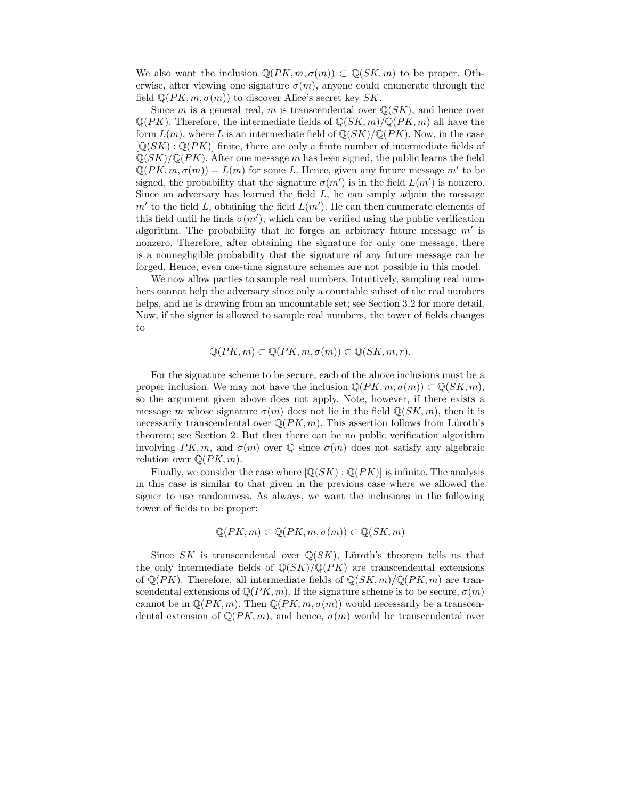We also want the inclusion  $\mathbb{Q}(PK, m, \sigma(m)) \subset \mathbb{Q}(SK, m)$  to be proper. Otherwise, after viewing one signature  $\sigma(m)$ , anyone could enumerate through the field  $\mathbb{Q}(PK, m, \sigma(m))$  to discover Alice's secret key SK.

Since m is a general real, m is transcendental over  $\mathbb{Q}(SK)$ , and hence over  $\mathbb{Q}(PK)$ . Therefore, the intermediate fields of  $\mathbb{Q}(SK,m)/\mathbb{Q}(PK,m)$  all have the form  $L(m)$ , where L is an intermediate field of  $\mathbb{Q}(SK)/\mathbb{Q}(PK)$ . Now, in the case  $[Q(SK):Q(PK)]$  finite, there are only a finite number of intermediate fields of  $\mathbb{Q}(SK)/\mathbb{Q}(PK)$ . After one message m has been signed, the public learns the field  $\mathbb{Q}(PK, m, \sigma(m)) = L(m)$  for some L. Hence, given any future message  $m'$  to be signed, the probability that the signature  $\sigma(m')$  is in the field  $L(m')$  is nonzero. Since an adversary has learned the field  $L$ , he can simply adjoin the message  $m'$  to the field L, obtaining the field  $L(m')$ . He can then enumerate elements of this field until he finds  $\sigma(m')$ , which can be verified using the public verification algorithm. The probability that he forges an arbitrary future message  $m'$  is nonzero. Therefore, after obtaining the signature for only one message, there is a nonnegligible probability that the signature of any future message can be forged. Hence, even one-time signature schemes are not possible in this model.

We now allow parties to sample real numbers. Intuitively, sampling real numbers cannot help the adversary since only a countable subset of the real numbers helps, and he is drawing from an uncountable set; see Section 3.2 for more detail. Now, if the signer is allowed to sample real numbers, the tower of fields changes to

$$
\mathbb{Q}(PK,m) \subset \mathbb{Q}(PK,m,\sigma(m)) \subset \mathbb{Q}(SK,m,r).
$$

For the signature scheme to be secure, each of the above inclusions must be a proper inclusion. We may not have the inclusion  $\mathbb{Q}(PK, m, \sigma(m)) \subset \mathbb{Q}(SK, m)$ , so the argument given above does not apply. Note, however, if there exists a message m whose signature  $\sigma(m)$  does not lie in the field  $\mathbb{Q}(SK, m)$ , then it is necessarily transcendental over  $\mathbb{Q}(PK, m)$ . This assertion follows from Lüroth's theorem; see Section 2. But then there can be no public verification algorithm involving  $PK, m$ , and  $\sigma(m)$  over  $\mathbb Q$  since  $\sigma(m)$  does not satisfy any algebraic relation over  $\mathbb{Q}(PK, m)$ .

Finally, we consider the case where  $[\mathbb{Q}(SK) : \mathbb{Q}(PK)]$  is infinite. The analysis in this case is similar to that given in the previous case where we allowed the signer to use randomness. As always, we want the inclusions in the following tower of fields to be proper:

$$
\mathbb{Q}(PK,m) \subset \mathbb{Q}(PK,m,\sigma(m)) \subset \mathbb{Q}(SK,m)
$$

Since SK is transcendental over  $\mathbb{Q}(SK)$ , Lüroth's theorem tells us that the only intermediate fields of  $\mathbb{Q}(SK)/\mathbb{Q}(PK)$  are transcendental extensions of  $\mathbb{Q}(PK)$ . Therefore, all intermediate fields of  $\mathbb{Q}(SK, m)/\mathbb{Q}(PK, m)$  are transcendental extensions of  $\mathbb{Q}(PK, m)$ . If the signature scheme is to be secure,  $\sigma(m)$ cannot be in  $\mathbb{Q}(PK, m)$ . Then  $\mathbb{Q}(PK, m, \sigma(m))$  would necessarily be a transcendental extension of  $\mathbb{Q}(PK, m)$ , and hence,  $\sigma(m)$  would be transcendental over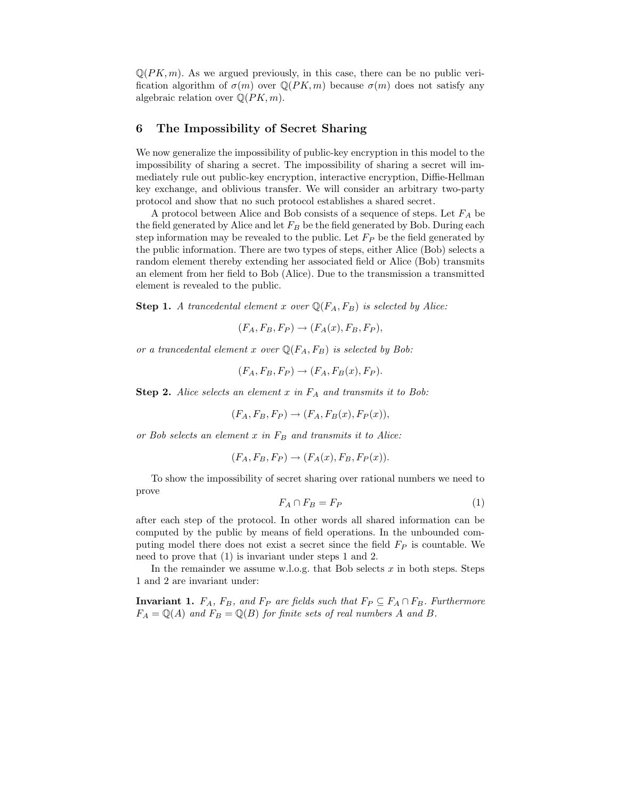$\mathbb{Q}(PK, m)$ . As we argued previously, in this case, there can be no public verification algorithm of  $\sigma(m)$  over  $\mathbb{Q}(PK, m)$  because  $\sigma(m)$  does not satisfy any algebraic relation over  $\mathbb{Q}(PK, m)$ .

#### 6 The Impossibility of Secret Sharing

We now generalize the impossibility of public-key encryption in this model to the impossibility of sharing a secret. The impossibility of sharing a secret will immediately rule out public-key encryption, interactive encryption, Diffie-Hellman key exchange, and oblivious transfer. We will consider an arbitrary two-party protocol and show that no such protocol establishes a shared secret.

A protocol between Alice and Bob consists of a sequence of steps. Let  ${\mathcal F}_A$  be the field generated by Alice and let  $F_B$  be the field generated by Bob. During each step information may be revealed to the public. Let  $F_P$  be the field generated by the public information. There are two types of steps, either Alice (Bob) selects a random element thereby extending her associated field or Alice (Bob) transmits an element from her field to Bob (Alice). Due to the transmission a transmitted element is revealed to the public.

**Step 1.** A trancedental element x over  $\mathbb{Q}(F_A, F_B)$  is selected by Alice:

$$
(F_A, F_B, F_P) \rightarrow (F_A(x), F_B, F_P),
$$

or a trancedental element x over  $\mathbb{Q}(F_A, F_B)$  is selected by Bob:

$$
(F_A, F_B, F_P) \rightarrow (F_A, F_B(x), F_P).
$$

**Step 2.** Alice selects an element  $x$  in  $F_A$  and transmits it to Bob:

$$
(F_A, F_B, F_P) \rightarrow (F_A, F_B(x), F_P(x)),
$$

or Bob selects an element  $x$  in  $F_B$  and transmits it to Alice:

$$
(F_A, F_B, F_P) \rightarrow (F_A(x), F_B, F_P(x)).
$$

To show the impossibility of secret sharing over rational numbers we need to prove

$$
F_A \cap F_B = F_P \tag{1}
$$

after each step of the protocol. In other words all shared information can be computed by the public by means of field operations. In the unbounded computing model there does not exist a secret since the field  $F_P$  is countable. We need to prove that (1) is invariant under steps 1 and 2.

In the remainder we assume w.l.o.g. that Bob selects  $x$  in both steps. Steps 1 and 2 are invariant under:

**Invariant 1.**  $F_A$ ,  $F_B$ , and  $F_P$  are fields such that  $F_P \subseteq F_A \cap F_B$ . Furthermore  $F_A = \mathbb{Q}(A)$  and  $F_B = \mathbb{Q}(B)$  for finite sets of real numbers A and B.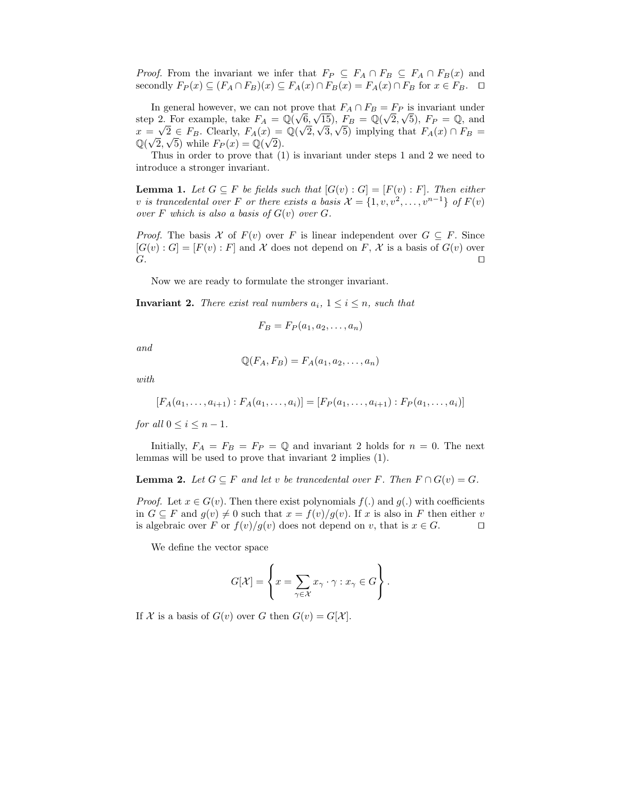*Proof.* From the invariant we infer that  $F_P \subseteq F_A \cap F_B \subseteq F_A \cap F_B(x)$  and secondly  $F_P(x) \subseteq (F_A \cap F_B)(x) \subseteq F_A(x) \cap F_B(x) = F_A(x) \cap F_B$  for  $x \in F_B$ .  $\Box$ 

In general however, we can not prove that  $F_A \cap F_B = F_P$  is invariant under step 2. For example, take  $F_A = \mathbb{Q}(\sqrt{6}, \sqrt{15})$ ,  $F_B = \mathbb{Q}(\sqrt{2}, \sqrt{5})$ ,  $F_P = \mathbb{Q}$ , and  $x = \sqrt{2} \in F_B$ . Clearly,  $F_A(x) = \mathbb{Q}(\sqrt{2}, \sqrt{3}, \sqrt{5})$  implying that  $F_A(x) \cap F_B =$  $\mathbb{Q}(\sqrt{2}, \sqrt{5})$  while  $F_P(x) = \mathbb{Q}(\sqrt{2})$ .

Thus in order to prove that (1) is invariant under steps 1 and 2 we need to introduce a stronger invariant.

**Lemma 1.** Let  $G \subseteq F$  be fields such that  $[G(v) : G] = [F(v) : F]$ . Then either v is trancedental over F or there exists a basis  $\mathcal{X} = \{1, v, v^2, \dots, v^{n-1}\}$  of  $F(v)$ over F which is also a basis of  $G(v)$  over  $G$ .

*Proof.* The basis X of  $F(v)$  over F is linear independent over  $G \subseteq F$ . Since  $[G(v):G] = [F(v):F]$  and X does not depend on F, X is a basis of  $G(v)$  over G.  $G.$ 

Now we are ready to formulate the stronger invariant.

**Invariant 2.** There exist real numbers  $a_i$ ,  $1 \leq i \leq n$ , such that

$$
F_B = F_P(a_1, a_2, \dots, a_n)
$$

and

$$
\mathbb{Q}(F_A, F_B) = F_A(a_1, a_2, \dots, a_n)
$$

with

$$
[F_A(a_1,\ldots,a_{i+1}):F_A(a_1,\ldots,a_i)]=[F_P(a_1,\ldots,a_{i+1}):F_P(a_1,\ldots,a_i)]
$$

for all  $0 \leq i \leq n-1$ .

Initially,  $F_A = F_B = F_P = \mathbb{Q}$  and invariant 2 holds for  $n = 0$ . The next lemmas will be used to prove that invariant 2 implies (1).

**Lemma 2.** Let  $G \subseteq F$  and let v be trancedental over F. Then  $F \cap G(v) = G$ .

*Proof.* Let  $x \in G(v)$ . Then there exist polynomials  $f(.)$  and  $g(.)$  with coefficients in  $G \subseteq F$  and  $g(v) \neq 0$  such that  $x = f(v)/g(v)$ . If x is also in F then either v is algebraic over F or  $f(v)/g(v)$  does not depend on v that is  $x \in G$ is algebraic over F or  $f(v)/g(v)$  does not depend on v, that is  $x \in G$ .

We define the vector space

$$
G[\mathcal{X}] = \left\{ x = \sum_{\gamma \in \mathcal{X}} x_{\gamma} \cdot \gamma : x_{\gamma} \in G \right\}.
$$

If X is a basis of  $G(v)$  over G then  $G(v) = G[X]$ .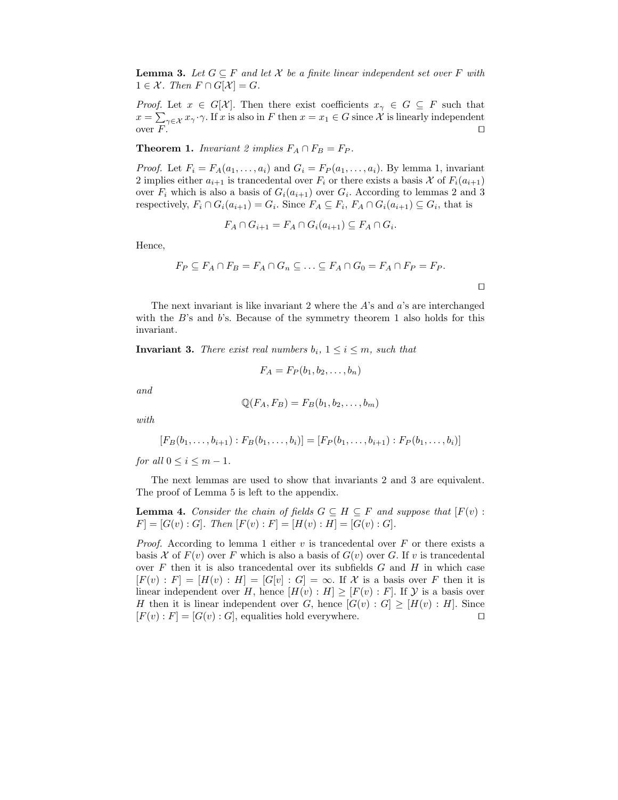**Lemma 3.** Let  $G \subseteq F$  and let X be a finite linear independent set over F with  $1 \in \mathcal{X}$ . Then  $F \cap G[\mathcal{X}] = G$ .

*Proof.* Let  $x \in G[X]$ . Then there exist coefficients  $x_{\gamma} \in G \subseteq F$  such that  $x = \sum_{\gamma \in \mathcal{X}} x_{\gamma} \cdot \gamma$ . If x is also in F then  $x = x_1 \in G$  since X is linearly independent over  $F$ .

**Theorem 1.** Invariant 2 implies  $F_A \cap F_B = F_P$ .

*Proof.* Let  $F_i = F_A(a_1, \ldots, a_i)$  and  $G_i = F_P(a_1, \ldots, a_i)$ . By lemma 1, invariant 2 implies either  $a_{i+1}$  is trancedental over  $F_i$  or there exists a basis X of  $F_i(a_{i+1})$ over  $F_i$  which is also a basis of  $G_i(a_{i+1})$  over  $G_i$ . According to lemmas 2 and 3 respectively,  $F_i \cap G_i(a_{i+1}) = G_i$ . Since  $F_A \subseteq F_i$ ,  $F_A \cap G_i(a_{i+1}) \subseteq G_i$ , that is

$$
F_A \cap G_{i+1} = F_A \cap G_i(a_{i+1}) \subseteq F_A \cap G_i.
$$

Hence,

$$
F_P \subseteq F_A \cap F_B = F_A \cap G_n \subseteq \ldots \subseteq F_A \cap G_0 = F_A \cap F_P = F_P.
$$

 $\Box$ 

The next invariant is like invariant 2 where the  $A$ 's and  $a$ 's are interchanged with the  $B$ 's and  $b$ 's. Because of the symmetry theorem 1 also holds for this invariant.

**Invariant 3.** There exist real numbers  $b_i$ ,  $1 \leq i \leq m$ , such that

$$
F_A = F_P(b_1, b_2, \ldots, b_n)
$$

and

$$
\mathbb{Q}(F_A, F_B) = F_B(b_1, b_2, \dots, b_m)
$$

with

$$
[F_B(b_1,\ldots,b_{i+1}):F_B(b_1,\ldots,b_i)]=[F_P(b_1,\ldots,b_{i+1}):F_P(b_1,\ldots,b_i)]
$$

for all  $0 \leq i \leq m-1$ .

The next lemmas are used to show that invariants 2 and 3 are equivalent. The proof of Lemma 5 is left to the appendix.

**Lemma 4.** Consider the chain of fields  $G \subseteq H \subseteq F$  and suppose that  $[F(v)$ :  $F] = [G(v) : G]$ . Then  $[F(v) : F] = [H(v) : H] = [G(v) : G]$ .

*Proof.* According to lemma 1 either v is trancedental over F or there exists a basis X of  $F(v)$  over F which is also a basis of  $G(v)$  over G. If v is trancedental over  $F$  then it is also trancedental over its subfields  $G$  and  $H$  in which case  $[F(v): F] = [H(v): H] = [G[v]: G] = \infty$ . If X is a basis over F then it is linear independent over H, hence  $[H(v): H] \geq [F(v): F]$ . If  $\mathcal Y$  is a basis over H then it is linear independent over G, hence  $[G(v) : G] \geq [H(v) : H]$ . Since  $[F(v) : F] = [G(v) : G]$ , equalities hold everywhere.  $[F(v):F] = [G(v):G]$ , equalities hold everywhere.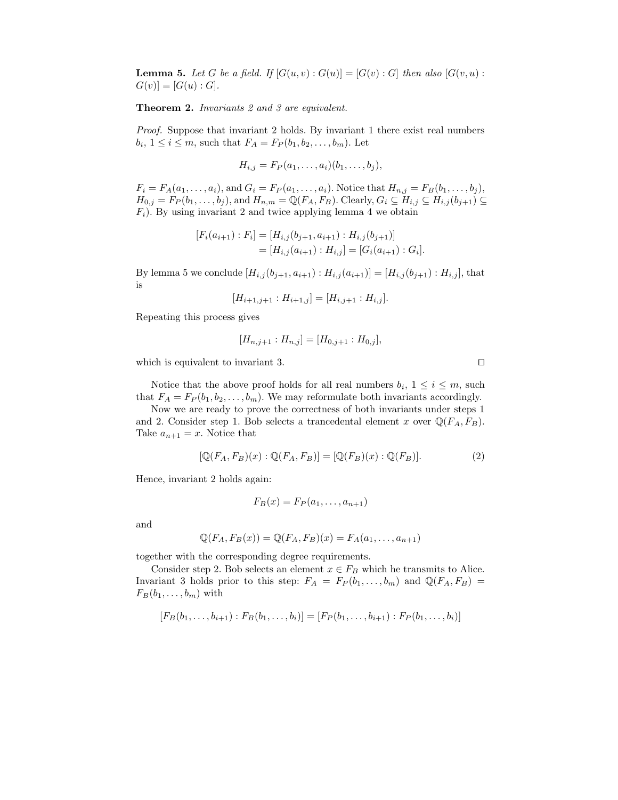**Lemma 5.** Let G be a field. If  $[G(u, v) : G(u)] = [G(v) : G]$  then also  $[G(v, u) : G(u)] = G(v)$  $G(v)$ ] = [ $G(u)$  :  $G$ ].

Theorem 2. Invariants 2 and 3 are equivalent.

Proof. Suppose that invariant 2 holds. By invariant 1 there exist real numbers  $b_i, 1 \leq i \leq m$ , such that  $F_A = F_P(b_1, b_2, \ldots, b_m)$ . Let

$$
H_{i,j}=F_P(a_1,\ldots,a_i)(b_1,\ldots,b_j),
$$

 $F_i = F_A(a_1, ..., a_i)$ , and  $G_i = F_P(a_1, ..., a_i)$ . Notice that  $H_{n,j} = F_B(b_1, ..., b_j)$ ,  $H_{0,j} = F_P(b_1,\ldots,b_j)$ , and  $H_{n,m} = \mathbb{Q}(F_A, F_B)$ . Clearly,  $G_i \subseteq H_{i,j} \subseteq H_{i,j}(b_{j+1}) \subseteq$  $F_i$ ). By using invariant 2 and twice applying lemma 4 we obtain

$$
[F_i(a_{i+1}): F_i] = [H_{i,j}(b_{j+1}, a_{i+1}): H_{i,j}(b_{j+1})]
$$
  
= 
$$
[H_{i,j}(a_{i+1}): H_{i,j}] = [G_i(a_{i+1}): G_i].
$$

By lemma 5 we conclude  $[H_{i,j}(b_{i+1}, a_{i+1}) : H_{i,j}(a_{i+1})] = [H_{i,j}(b_{i+1}) : H_{i,j}],$  that is

$$
[H_{i+1,j+1}:H_{i+1,j}]=[H_{i,j+1}:H_{i,j}].
$$

Repeating this process gives

$$
[H_{n,j+1}:H_{n,j}]=[H_{0,j+1}:H_{0,j}],
$$

which is equivalent to invariant 3.

Notice that the above proof holds for all real numbers  $b_i$ ,  $1 \leq i \leq m$ , such that  $F_A = F_P(b_1, b_2, \ldots, b_m)$ . We may reformulate both invariants accordingly.

Now we are ready to prove the correctness of both invariants under steps 1 and 2. Consider step 1. Bob selects a trancedental element x over  $\mathbb{Q}(F_A, F_B)$ . Take  $a_{n+1} = x$ . Notice that

$$
[\mathbb{Q}(F_A, F_B)(x) : \mathbb{Q}(F_A, F_B)] = [\mathbb{Q}(F_B)(x) : \mathbb{Q}(F_B)].
$$
\n(2)

Hence, invariant 2 holds again:

$$
F_B(x) = F_P(a_1, \ldots, a_{n+1})
$$

and

$$
\mathbb{Q}(F_A, F_B(x)) = \mathbb{Q}(F_A, F_B)(x) = F_A(a_1, \dots, a_{n+1})
$$

together with the corresponding degree requirements.

Consider step 2. Bob selects an element  $x \in F_B$  which he transmits to Alice. Invariant 3 holds prior to this step:  $F_A = F_P(b_1, \ldots, b_m)$  and  $\mathbb{Q}(F_A, F_B) =$  $F_B(b_1, \ldots, b_m)$  with

$$
[F_B(b_1,\ldots,b_{i+1}):F_B(b_1,\ldots,b_i)]=[F_P(b_1,\ldots,b_{i+1}):F_P(b_1,\ldots,b_i)]
$$

$$
\Box
$$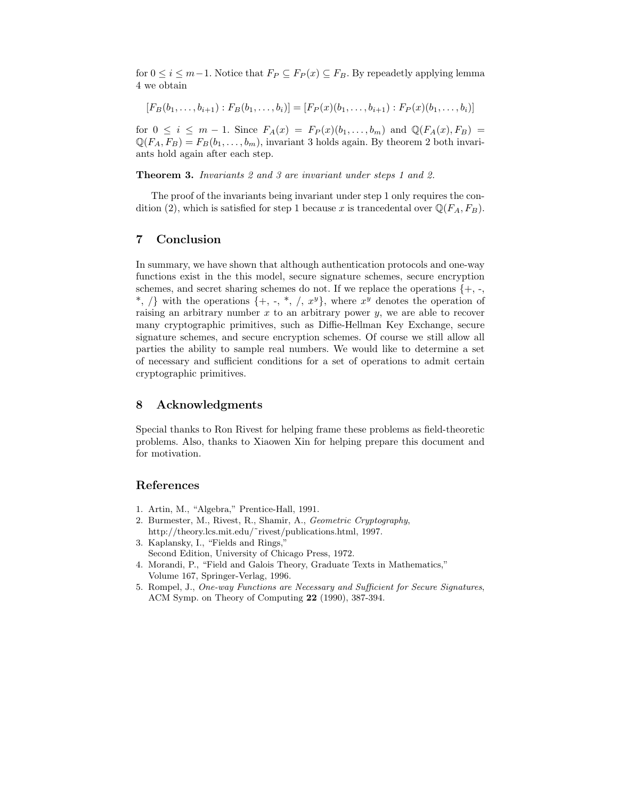for  $0 \le i \le m-1$ . Notice that  $F_P \subseteq F_P(x) \subseteq F_B$ . By repeadetly applying lemma 4 we obtain

$$
[F_B(b_1,\ldots,b_{i+1}):F_B(b_1,\ldots,b_i)]=[F_P(x)(b_1,\ldots,b_{i+1}):F_P(x)(b_1,\ldots,b_i)]
$$

for  $0 \leq i \leq m-1$ . Since  $F_A(x) = F_P(x)(b_1,\ldots,b_m)$  and  $\mathbb{Q}(F_A(x), F_B) =$  $\mathbb{Q}(F_A, F_B) = F_B(b_1, \ldots, b_m)$ , invariant 3 holds again. By theorem 2 both invariants hold again after each step.

Theorem 3. Invariants 2 and 3 are invariant under steps 1 and 2.

The proof of the invariants being invariant under step 1 only requires the condition (2), which is satisfied for step 1 because x is trancedental over  $\mathbb{Q}(F_A, F_B)$ .

### 7 Conclusion

In summary, we have shown that although authentication protocols and one-way functions exist in the this model, secure signature schemes, secure encryption schemes, and secret sharing schemes do not. If we replace the operations  $\{+, \cdot, \cdot\}$ \*,  $\langle \rangle$  with the operations {+, -, \*,  $\langle$ , x<sup>y</sup>}, where x<sup>y</sup> denotes the operation of raising an arbitrary number  $x$  to an arbitrary power  $y$ , we are able to recover many cryptographic primitives, such as Diffie-Hellman Key Exchange, secure signature schemes, and secure encryption schemes. Of course we still allow all parties the ability to sample real numbers. We would like to determine a set of necessary and sufficient conditions for a set of operations to admit certain cryptographic primitives.

#### 8 Acknowledgments

Special thanks to Ron Rivest for helping frame these problems as field-theoretic problems. Also, thanks to Xiaowen Xin for helping prepare this document and for motivation.

#### References

- 1. Artin, M., "Algebra," Prentice-Hall, 1991.
- 2. Burmester, M., Rivest, R., Shamir, A., Geometric Cryptography, http://theory.lcs.mit.edu/˜rivest/publications.html, 1997.
- 3. Kaplansky, I., "Fields and Rings," Second Edition, University of Chicago Press, 1972.
- 4. Morandi, P., "Field and Galois Theory, Graduate Texts in Mathematics," Volume 167, Springer-Verlag, 1996.
- 5. Rompel, J., One-way Functions are Necessary and Sufficient for Secure Signatures, ACM Symp. on Theory of Computing 22 (1990), 387-394.